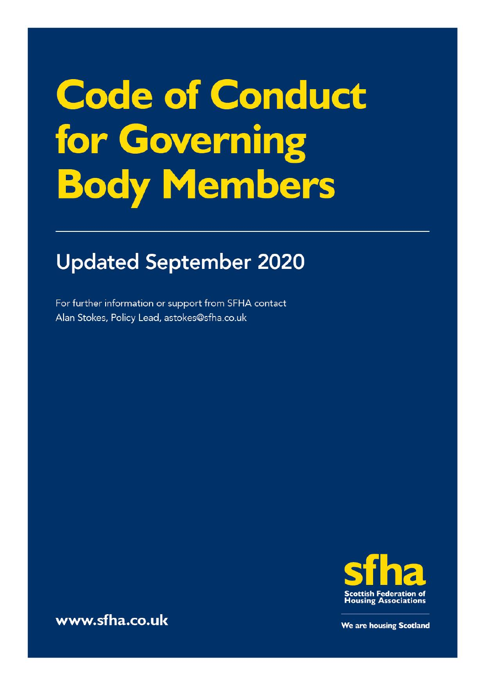# **Code of Conduct** for Governing **Body Members**

# **Updated September 2020**

For further information or support from SFHA contact Alan Stokes, Policy Lead, astokes@sfha.co.uk



www.sfha.co.uk

We are housing Scotland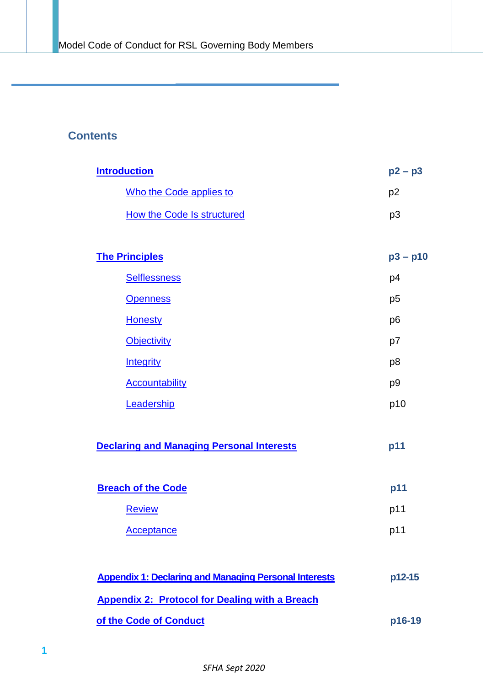# **Contents**

| <b>Introduction</b>                                          | $p2 - p3$      |
|--------------------------------------------------------------|----------------|
| Who the Code applies to                                      | p <sub>2</sub> |
| <b>How the Code Is structured</b>                            | p <sub>3</sub> |
|                                                              |                |
| <b>The Principles</b>                                        | $p3 - p10$     |
| <b>Selflessness</b>                                          | p4             |
| <b>Openness</b>                                              | p <sub>5</sub> |
| <b>Honesty</b>                                               | p <sub>6</sub> |
| <b>Objectivity</b>                                           | p7             |
| Integrity                                                    | p <sub>8</sub> |
| <b>Accountability</b>                                        | p <sub>9</sub> |
| Leadership                                                   | p10            |
| <b>Declaring and Managing Personal Interests</b>             | p11            |
| <b>Breach of the Code</b>                                    | p11            |
| <b>Review</b>                                                | p11            |
| <b>Acceptance</b>                                            | p11            |
| <b>Appendix 1: Declaring and Managing Personal Interests</b> | p12-15         |
| <b>Appendix 2: Protocol for Dealing with a Breach</b>        |                |

**of the Code of [Conduct](#page-16-0) p16-19**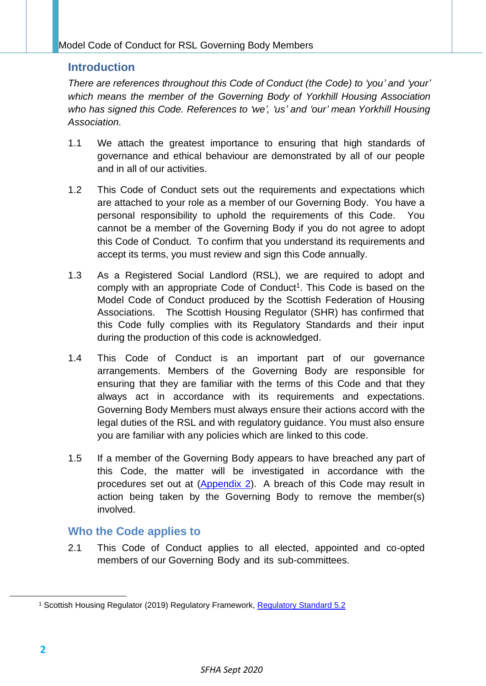# <span id="page-2-0"></span>**Introduction**

*There are references throughout this Code of Conduct (the Code) to 'you' and 'your' which means the member of the Governing Body of Yorkhill Housing Association who has signed this Code. References to 'we', 'us' and 'our' mean Yorkhill Housing Association.*

- 1.1 We attach the greatest importance to ensuring that high standards of governance and ethical behaviour are demonstrated by all of our people and in all of our activities.
- 1.2 This Code of Conduct sets out the requirements and expectations which are attached to your role as a member of our Governing Body. You have a personal responsibility to uphold the requirements of this Code. You cannot be a member of the Governing Body if you do not agree to adopt this Code of Conduct. To confirm that you understand its requirements and accept its terms, you must review and sign this Code annually.
- 1.3 As a Registered Social Landlord (RSL), we are required to adopt and comply with an appropriate Code of Conduct<sup>1</sup>. This Code is based on the Model Code of Conduct produced by the Scottish Federation of Housing Associations. The Scottish Housing Regulator (SHR) has confirmed that this Code fully complies with its Regulatory Standards and their input during the production of this code is acknowledged.
- 1.4 This Code of Conduct is an important part of our governance arrangements. Members of the Governing Body are responsible for ensuring that they are familiar with the terms of this Code and that they always act in accordance with its requirements and expectations. Governing Body Members must always ensure their actions accord with the legal duties of the RSL and with regulatory guidance. You must also ensure you are familiar with any policies which are linked to this code.
- 1.5 If a member of the Governing Body appears to have breached any part of this Code, the matter will be investigated in accordance with the procedures set out at [\(Appendix](#page-16-0) 2). A breach of this Code may result in action being taken by the Governing Body to remove the member(s) involved.

# <span id="page-2-1"></span>**Who the Code applies to**

2.1 This Code of Conduct applies to all elected, appointed and co-opted members of our Governing Body and its sub-committees.

<sup>&</sup>lt;sup>1</sup> Scottish Housing Regulator (2019) Regulatory Framework, [Regulatory Standard 5.2](https://www.housingregulator.gov.scot/for-landlords/regulatory-framework#section-3)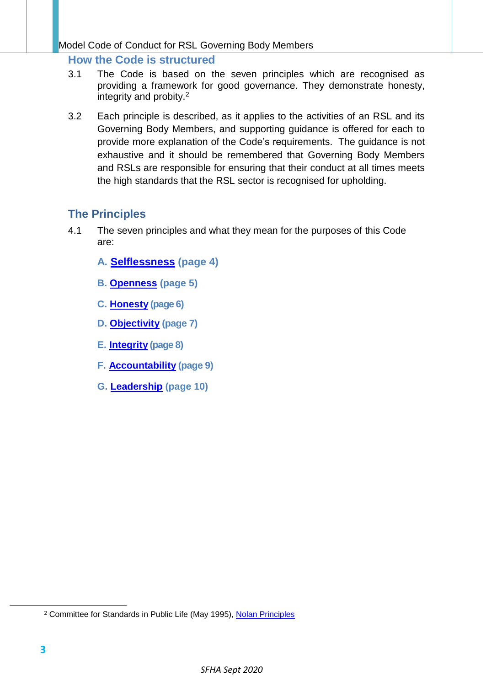# <span id="page-3-0"></span>**How the Code is structured**

- 3.1 The Code is based on the seven principles which are recognised as providing a framework for good governance. They demonstrate honesty, integrity and probity. 2
- 3.2 Each principle is described, as it applies to the activities of an RSL and its Governing Body Members, and supporting guidance is offered for each to provide more explanation of the Code's requirements. The guidance is not exhaustive and it should be remembered that Governing Body Members and RSLs are responsible for ensuring that their conduct at all times meets the high standards that the RSL sector is recognised for upholding.

# <span id="page-3-1"></span>**The Principles**

- 4.1 The seven principles and what they mean for the purposes of this Code are:
	- **A. [Selflessness](#page-4-0) (page 4)**
	- **B. [Openness](#page-5-0) (page 5)**
	- **C. [Honesty](#page-6-0) (page 6)**
	- **D. [Objectivity](#page-7-0) (page 7)**
	- **E. [Integrity](#page-8-0) (page 8)**
	- **F. [Accountability](#page-9-0) (page 9)**
	- **G. [Leadership](#page-10-0) (page 10)**

<sup>&</sup>lt;sup>2</sup> Committee for Standards in Public Life (May 1995), [Nolan Principles](https://www.gov.uk/government/publications/the-7-principles-of-public-life/the-7-principles-of-public-life--2)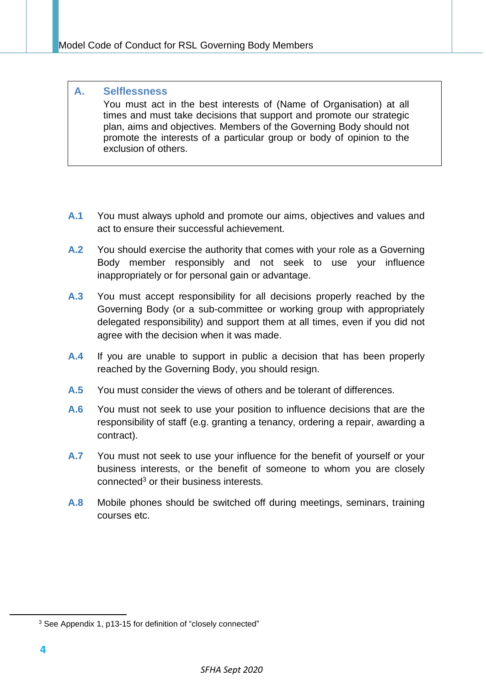#### <span id="page-4-0"></span>**A. Selflessness** You must act in the best interests of (Name of Organisation) at all times and must take decisions that support and promote our strategic plan, aims and objectives. Members of the Governing Body should not promote the interests of a particular group or body of opinion to the exclusion of others.

- **A.1** You must always uphold and promote our aims, objectives and values and act to ensure their successful achievement.
- **A.2** You should exercise the authority that comes with your role as a Governing Body member responsibly and not seek to use your influence inappropriately or for personal gain or advantage.
- **A.3** You must accept responsibility for all decisions properly reached by the Governing Body (or a sub-committee or working group with appropriately delegated responsibility) and support them at all times, even if you did not agree with the decision when it was made.
- **A.4** If you are unable to support in public a decision that has been properly reached by the Governing Body, you should resign.
- **A.5** You must consider the views of others and be tolerant of differences.
- **A.6** You must not seek to use your position to influence decisions that are the responsibility of staff (e.g. granting a tenancy, ordering a repair, awarding a contract).
- **A.7** You must not seek to use your influence for the benefit of yourself or your business interests, or the benefit of someone to whom you are closely connected <sup>3</sup> or their business interests.
- **A.8** Mobile phones should be switched off during meetings, seminars, training courses etc.

<sup>&</sup>lt;sup>3</sup> See Appendix 1, p13-15 for definition of "closely connected"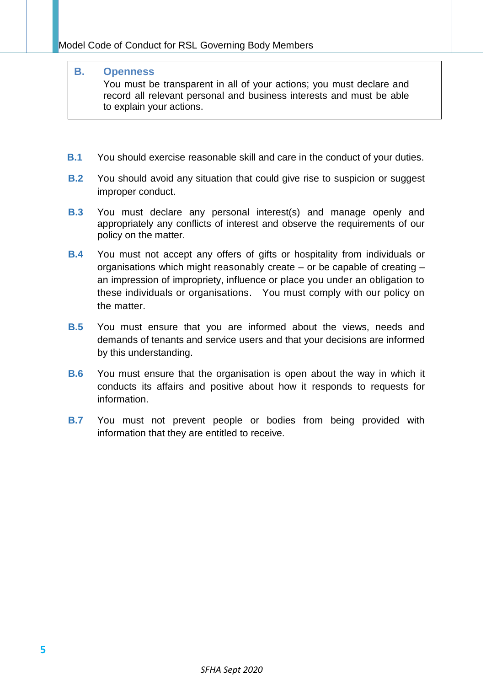#### **B. Openness**

<span id="page-5-0"></span>You must be transparent in all of your actions; you must declare and record all relevant personal and business interests and must be able to explain your actions.

- **B.1** You should exercise reasonable skill and care in the conduct of your duties.
- **B.2** You should avoid any situation that could give rise to suspicion or suggest improper conduct.
- **B.3** You must declare any personal interest(s) and manage openly and appropriately any conflicts of interest and observe the requirements of our policy on the matter.
- **B.4** You must not accept any offers of gifts or hospitality from individuals or organisations which might reasonably create – or be capable of creating – an impression of impropriety, influence or place you under an obligation to these individuals or organisations. You must comply with our policy on the matter.
- **B.5** You must ensure that you are informed about the views, needs and demands of tenants and service users and that your decisions are informed by this understanding.
- **B.6** You must ensure that the organisation is open about the way in which it conducts its affairs and positive about how it responds to requests for information.
- **B.7** You must not prevent people or bodies from being provided with information that they are entitled to receive.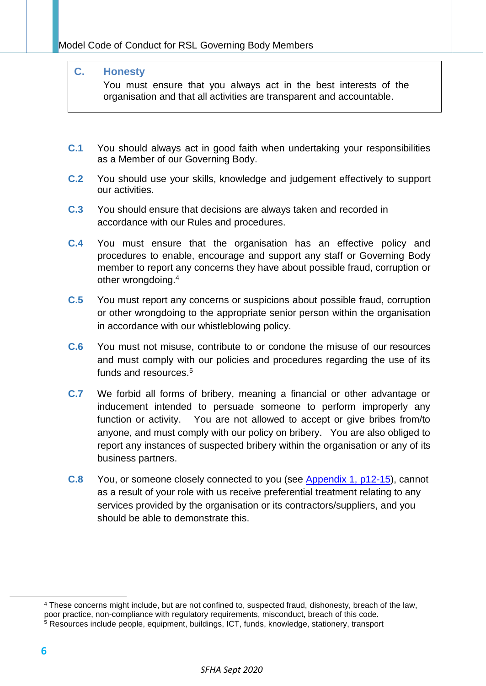# **C. Honesty**

<span id="page-6-0"></span>You must ensure that you always act in the best interests of the organisation and that all activities are transparent and accountable.

- **C.1** You should always act in good faith when undertaking your responsibilities as a Member of our Governing Body.
- **C.2** You should use your skills, knowledge and judgement effectively to support our activities.
- **C.3** You should ensure that decisions are always taken and recorded in accordance with our Rules and procedures.
- **C.4** You must ensure that the organisation has an effective policy and procedures to enable, encourage and support any staff or Governing Body member to report any concerns they have about possible fraud, corruption or other wrongdoing. 4
- **C.5** You must report any concerns or suspicions about possible fraud, corruption or other wrongdoing to the appropriate senior person within the organisation in accordance with our whistleblowing policy.
- **C.6** You must not misuse, contribute to or condone the misuse of our resources and must comply with our policies and procedures regarding the use of its funds and resources. 5
- **C.7** We forbid all forms of bribery, meaning a financial or other advantage or inducement intended to persuade someone to perform improperly any function or activity. You are not allowed to accept or give bribes from/to anyone, and must comply with our policy on bribery. You are also obliged to report any instances of suspected bribery within the organisation or any of its business partners.
- **C.8** You, or someone closely connected to you (see [Appendix 1, p12-15\)](#page-12-0), cannot as a result of your role with us receive preferential treatment relating to any services provided by the organisation or its contractors/suppliers, and you should be able to demonstrate this.

<sup>4</sup> These concerns might include, but are not confined to, suspected fraud, dishonesty, breach of the law, poor practice, non-compliance with regulatory requirements, misconduct, breach of this code.

<sup>5</sup> Resources include people, equipment, buildings, ICT, funds, knowledge, stationery, transport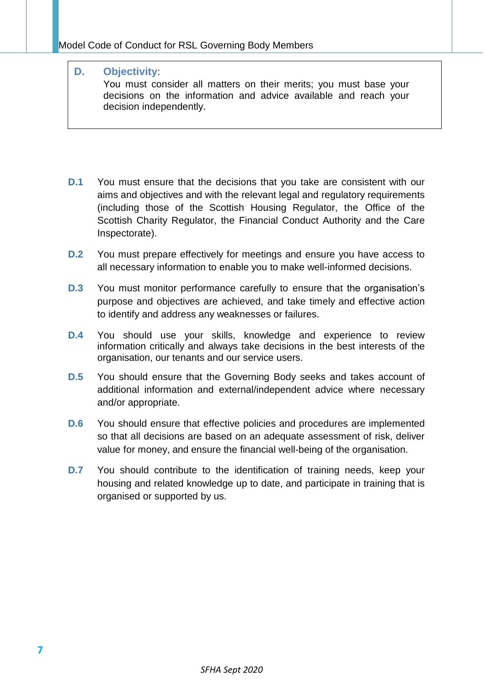## **D. Objectivity**:

<span id="page-7-0"></span>You must consider all matters on their merits; you must base your decisions on the information and advice available and reach your decision independently.

- **D.1** You must ensure that the decisions that you take are consistent with our aims and objectives and with the relevant legal and regulatory requirements (including those of the Scottish Housing Regulator, the Office of the Scottish Charity Regulator, the Financial Conduct Authority and the Care Inspectorate).
- **D.2** You must prepare effectively for meetings and ensure you have access to all necessary information to enable you to make well-informed decisions.
- **D.3** You must monitor performance carefully to ensure that the organisation's purpose and objectives are achieved, and take timely and effective action to identify and address any weaknesses or failures.
- **D.4** You should use your skills, knowledge and experience to review information critically and always take decisions in the best interests of the organisation, our tenants and our service users.
- **D.5** You should ensure that the Governing Body seeks and takes account of additional information and external/independent advice where necessary and/or appropriate.
- **D.6** You should ensure that effective policies and procedures are implemented so that all decisions are based on an adequate assessment of risk, deliver value for money, and ensure the financial well-being of the organisation.
- **D.7** You should contribute to the identification of training needs, keep your housing and related knowledge up to date, and participate in training that is organised or supported by us.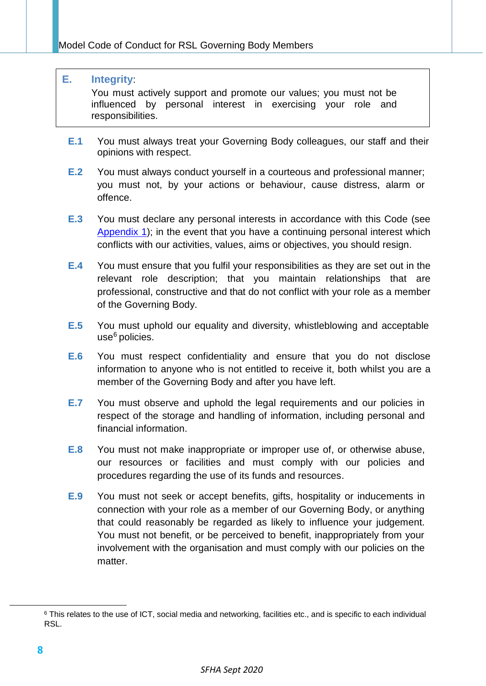#### **E. Integrity**:

<span id="page-8-0"></span>You must actively support and promote our values; you must not be influenced by personal interest in exercising your role and responsibilities.

- **E.1** You must always treat your Governing Body colleagues, our staff and their opinions with respect.
- **E.2** You must always conduct yourself in a courteous and professional manner; you must not, by your actions or behaviour, cause distress, alarm or offence.
- **E.3** You must declare any personal interests in accordance with this Code (see [Appendix 1\)](#page-12-0); in the event that you have a continuing personal interest which conflicts with our activities, values, aims or objectives, you should resign.
- **E.4** You must ensure that you fulfil your responsibilities as they are set out in the relevant role description; that you maintain relationships that are professional, constructive and that do not conflict with your role as a member of the Governing Body.
- **E.5** You must uphold our equality and diversity, whistleblowing and acceptable use <sup>6</sup> policies.
- **E.6** You must respect confidentiality and ensure that you do not disclose information to anyone who is not entitled to receive it, both whilst you are a member of the Governing Body and after you have left.
- **E.7** You must observe and uphold the legal requirements and our policies in respect of the storage and handling of information, including personal and financial information.
- **E.8** You must not make inappropriate or improper use of, or otherwise abuse, our resources or facilities and must comply with our policies and procedures regarding the use of its funds and resources.
- **E.9** You must not seek or accept benefits, gifts, hospitality or inducements in connection with your role as a member of our Governing Body, or anything that could reasonably be regarded as likely to influence your judgement. You must not benefit, or be perceived to benefit, inappropriately from your involvement with the organisation and must comply with our policies on the matter.

<sup>&</sup>lt;sup>6</sup> This relates to the use of ICT, social media and networking, facilities etc., and is specific to each individual RSL.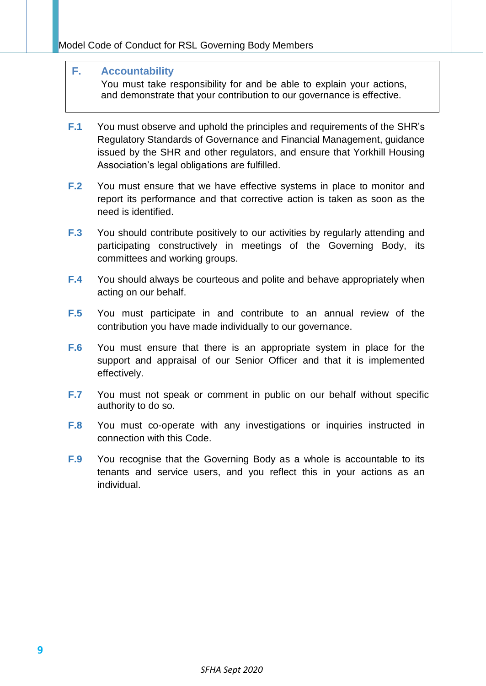#### **F. Accountability**

<span id="page-9-0"></span>You must take responsibility for and be able to explain your actions, and demonstrate that your contribution to our governance is effective.

- **F.1** You must observe and uphold the principles and requirements of the SHR's Regulatory Standards of Governance and Financial Management, guidance issued by the SHR and other regulators, and ensure that Yorkhill Housing Association's legal obligations are fulfilled.
- **F.2** You must ensure that we have effective systems in place to monitor and report its performance and that corrective action is taken as soon as the need is identified.
- **F.3** You should contribute positively to our activities by regularly attending and participating constructively in meetings of the Governing Body, its committees and working groups.
- **F.4** You should always be courteous and polite and behave appropriately when acting on our behalf.
- **F.5** You must participate in and contribute to an annual review of the contribution you have made individually to our governance.
- **F.6** You must ensure that there is an appropriate system in place for the support and appraisal of our Senior Officer and that it is implemented effectively.
- **F.7** You must not speak or comment in public on our behalf without specific authority to do so.
- **F.8** You must co-operate with any investigations or inquiries instructed in connection with this Code.
- **F.9** You recognise that the Governing Body as a whole is accountable to its tenants and service users, and you reflect this in your actions as an individual.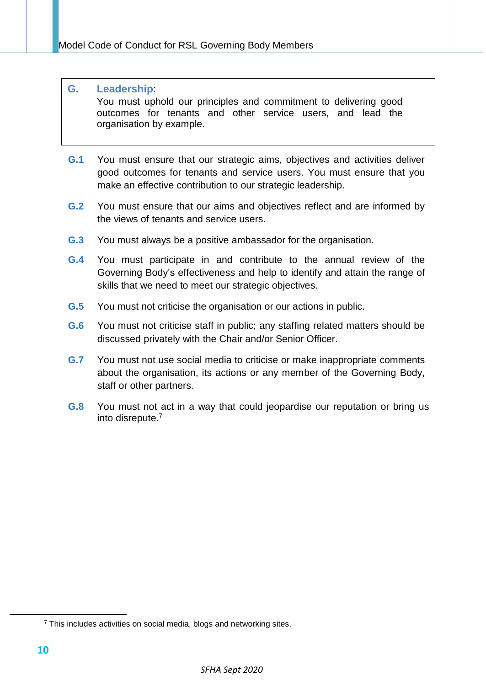# **G. Leadership**:

<span id="page-10-0"></span>You must uphold our principles and commitment to delivering good outcomes for tenants and other service users, and lead the organisation by example.

- **G.1** You must ensure that our strategic aims, objectives and activities deliver good outcomes for tenants and service users. You must ensure that you make an effective contribution to our strategic leadership.
- **G.2** You must ensure that our aims and objectives reflect and are informed by the views of tenants and service users.
- **G.3** You must always be a positive ambassador for the organisation.
- **G.4** You must participate in and contribute to the annual review of the Governing Body's effectiveness and help to identify and attain the range of skills that we need to meet our strategic objectives.
- **G.5** You must not criticise the organisation or our actions in public.
- **G.6** You must not criticise staff in public; any staffing related matters should be discussed privately with the Chair and/or Senior Officer.
- **G.7** You must not use social media to criticise or make inappropriate comments about the organisation, its actions or any member of the Governing Body, staff or other partners.
- **G.8** You must not act in a way that could jeopardise our reputation or bring us into disrepute. 7

<sup>&</sup>lt;sup>7</sup> This includes activities on social media, blogs and networking sites.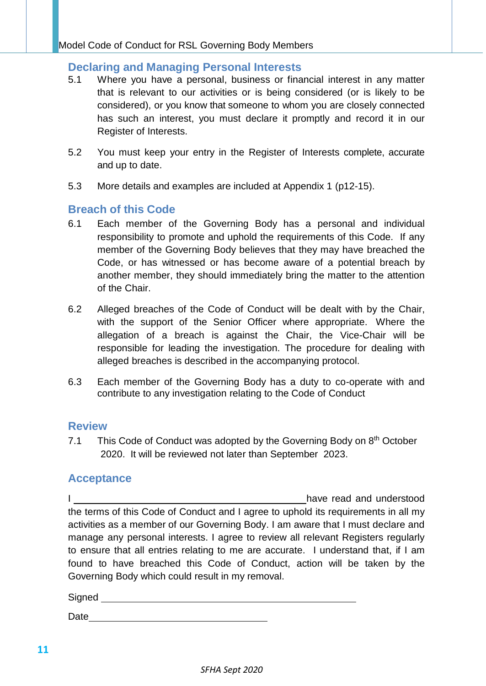# <span id="page-11-0"></span>**Declaring and Managing Personal Interests**

- 5.1 Where you have a personal, business or financial interest in any matter that is relevant to our activities or is being considered (or is likely to be considered), or you know that someone to whom you are closely connected has such an interest, you must declare it promptly and record it in our Register of Interests.
- 5.2 You must keep your entry in the Register of Interests complete, accurate and up to date.
- 5.3 More details and examples are included at Appendix 1 (p12-15).

# <span id="page-11-1"></span>**Breach of this Code**

- 6.1 Each member of the Governing Body has a personal and individual responsibility to promote and uphold the requirements of this Code. If any member of the Governing Body believes that they may have breached the Code, or has witnessed or has become aware of a potential breach by another member, they should immediately bring the matter to the attention of the Chair.
- 6.2 Alleged breaches of the Code of Conduct will be dealt with by the Chair, with the support of the Senior Officer where appropriate. Where the allegation of a breach is against the Chair, the Vice-Chair will be responsible for leading the investigation. The procedure for dealing with alleged breaches is described in the accompanying protocol.
- 6.3 Each member of the Governing Body has a duty to co-operate with and contribute to any investigation relating to the Code of Conduct

# <span id="page-11-2"></span>**Review**

7.1 This Code of Conduct was adopted by the Governing Body on 8<sup>th</sup> October 2020. It will be reviewed not later than September 2023.

# <span id="page-11-3"></span>**Acceptance**

I <u>I</u> have read and understood the terms of this Code of Conduct and I agree to uphold its requirements in all my activities as a member of our Governing Body. I am aware that I must declare and manage any personal interests. I agree to review all relevant Registers regularly to ensure that all entries relating to me are accurate. I understand that, if I am found to have breached this Code of Conduct, action will be taken by the Governing Body which could result in my removal.

Signed

Date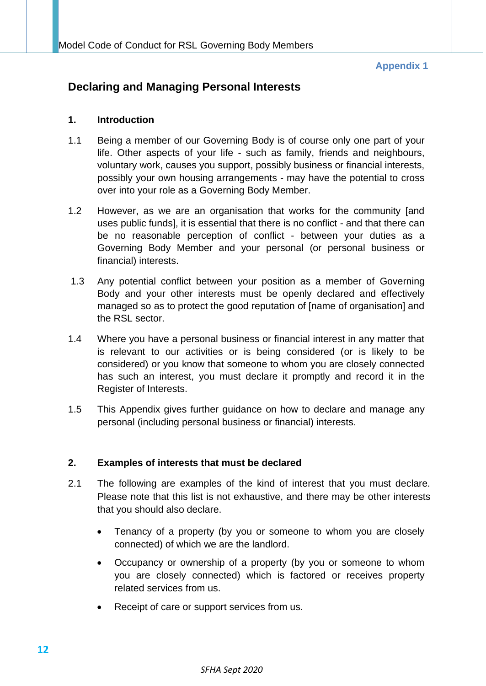## **Appendix 1**

# <span id="page-12-0"></span>**Declaring and Managing Personal Interests**

# **1. Introduction**

- 1.1 Being a member of our Governing Body is of course only one part of your life. Other aspects of your life - such as family, friends and neighbours, voluntary work, causes you support, possibly business or financial interests, possibly your own housing arrangements - may have the potential to cross over into your role as a Governing Body Member.
- 1.2 However, as we are an organisation that works for the community [and uses public funds], it is essential that there is no conflict - and that there can be no reasonable perception of conflict - between your duties as a Governing Body Member and your personal (or personal business or financial) interests.
- 1.3 Any potential conflict between your position as a member of Governing Body and your other interests must be openly declared and effectively managed so as to protect the good reputation of [name of organisation] and the RSL sector.
- 1.4 Where you have a personal business or financial interest in any matter that is relevant to our activities or is being considered (or is likely to be considered) or you know that someone to whom you are closely connected has such an interest, you must declare it promptly and record it in the Register of Interests.
- 1.5 This Appendix gives further guidance on how to declare and manage any personal (including personal business or financial) interests.

# **2. Examples of interests that must be declared**

- 2.1 The following are examples of the kind of interest that you must declare. Please note that this list is not exhaustive, and there may be other interests that you should also declare.
	- Tenancy of a property (by you or someone to whom you are closely connected) of which we are the landlord.
	- Occupancy or ownership of a property (by you or someone to whom you are closely connected) which is factored or receives property related services from us.
	- Receipt of care or support services from us.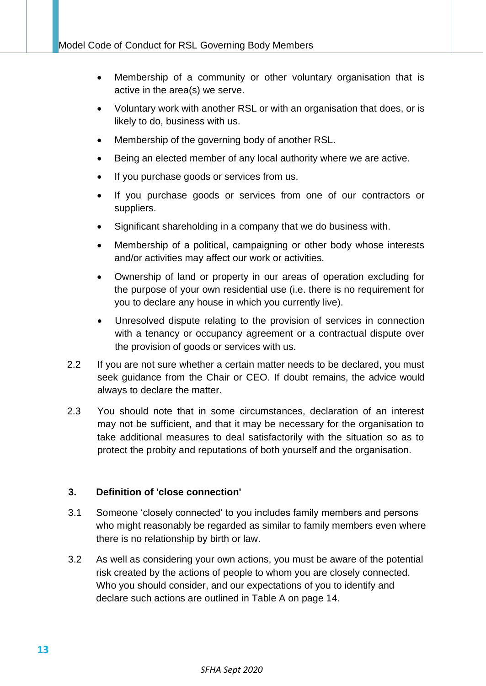- Membership of a community or other voluntary organisation that is active in the area(s) we serve.
- Voluntary work with another RSL or with an organisation that does, or is likely to do, business with us.
- Membership of the governing body of another RSL.
- Being an elected member of any local authority where we are active.
- If you purchase goods or services from us.
- If you purchase goods or services from one of our contractors or suppliers.
- Significant shareholding in a company that we do business with.
- Membership of a political, campaigning or other body whose interests and/or activities may affect our work or activities.
- Ownership of land or property in our areas of operation excluding for the purpose of your own residential use (i.e. there is no requirement for you to declare any house in which you currently live).
- Unresolved dispute relating to the provision of services in connection with a tenancy or occupancy agreement or a contractual dispute over the provision of goods or services with us.
- 2.2 If you are not sure whether a certain matter needs to be declared, you must seek guidance from the Chair or CEO. If doubt remains, the advice would always to declare the matter.
- 2.3 You should note that in some circumstances, declaration of an interest may not be sufficient, and that it may be necessary for the organisation to take additional measures to deal satisfactorily with the situation so as to protect the probity and reputations of both yourself and the organisation.

# **3. Definition of 'close connection'**

- 3.1 Someone 'closely connected' to you includes family members and persons who might reasonably be regarded as similar to family members even where there is no relationship by birth or law.
- 3.2 As well as considering your own actions, you must be aware of the potential risk created by the actions of people to whom you are closely connected. Who you should consider, and our expectations of you to identify and declare such actions are outlined in Table A on page 14.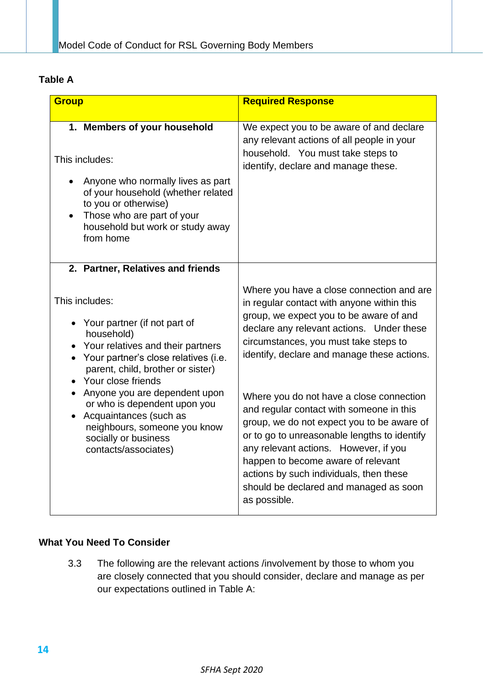# **Table A**

| <b>Group</b>                                                                                                                                                                                                                                                                                                                                                                                                                            | <b>Required Response</b>                                                                                                                                                                                                                                                                                                                                                                                                                                                                                                                                                                                                                          |
|-----------------------------------------------------------------------------------------------------------------------------------------------------------------------------------------------------------------------------------------------------------------------------------------------------------------------------------------------------------------------------------------------------------------------------------------|---------------------------------------------------------------------------------------------------------------------------------------------------------------------------------------------------------------------------------------------------------------------------------------------------------------------------------------------------------------------------------------------------------------------------------------------------------------------------------------------------------------------------------------------------------------------------------------------------------------------------------------------------|
| 1. Members of your household<br>This includes:<br>Anyone who normally lives as part<br>of your household (whether related<br>to you or otherwise)<br>Those who are part of your<br>household but work or study away<br>from home                                                                                                                                                                                                        | We expect you to be aware of and declare<br>any relevant actions of all people in your<br>household. You must take steps to<br>identify, declare and manage these.                                                                                                                                                                                                                                                                                                                                                                                                                                                                                |
| 2. Partner, Relatives and friends<br>This includes:<br>• Your partner (if not part of<br>household)<br>• Your relatives and their partners<br>• Your partner's close relatives (i.e.<br>parent, child, brother or sister)<br>Your close friends<br>Anyone you are dependent upon<br>or who is dependent upon you<br>Acquaintances (such as<br>$\bullet$<br>neighbours, someone you know<br>socially or business<br>contacts/associates) | Where you have a close connection and are<br>in regular contact with anyone within this<br>group, we expect you to be aware of and<br>declare any relevant actions. Under these<br>circumstances, you must take steps to<br>identify, declare and manage these actions.<br>Where you do not have a close connection<br>and regular contact with someone in this<br>group, we do not expect you to be aware of<br>or to go to unreasonable lengths to identify<br>any relevant actions. However, if you<br>happen to become aware of relevant<br>actions by such individuals, then these<br>should be declared and managed as soon<br>as possible. |

# **What You Need To Consider**

3.3 The following are the relevant actions /involvement by those to whom you are closely connected that you should consider, declare and manage as per our expectations outlined in Table A: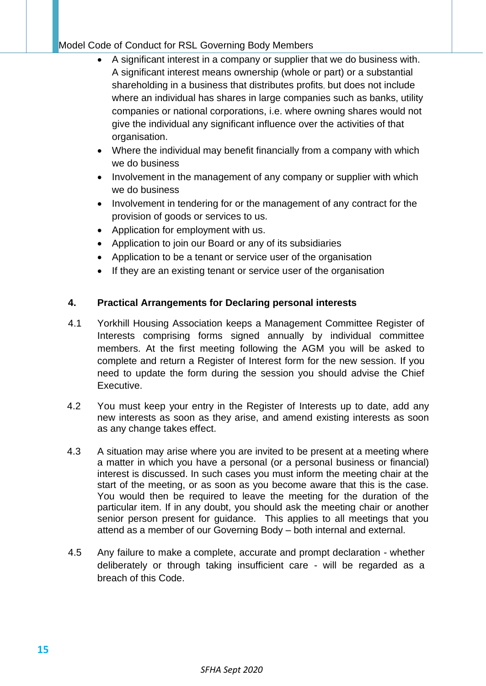# Model Code of Conduct for RSL Governing Body Members

- A significant interest in a company or supplier that we do business with. A significant interest means ownership (whole or part) or a substantial shareholding in a business that distributes profits, but does not include where an individual has shares in large companies such as banks, utility companies or national corporations, i.e. where owning shares would not give the individual any significant influence over the activities of that organisation.
- Where the individual may benefit financially from a company with which we do business
- Involvement in the management of any company or supplier with which we do business
- Involvement in tendering for or the management of any contract for the provision of goods or services to us.
- Application for employment with us.
- Application to join our Board or any of its subsidiaries
- Application to be a tenant or service user of the organisation
- If they are an existing tenant or service user of the organisation

# **4. Practical Arrangements for Declaring personal interests**

- 4.1 Yorkhill Housing Association keeps a Management Committee Register of Interests comprising forms signed annually by individual committee members. At the first meeting following the AGM you will be asked to complete and return a Register of Interest form for the new session. If you need to update the form during the session you should advise the Chief Executive.
- 4.2 You must keep your entry in the Register of Interests up to date, add any new interests as soon as they arise, and amend existing interests as soon as any change takes effect.
- 4.3 A situation may arise where you are invited to be present at a meeting where a matter in which you have a personal (or a personal business or financial) interest is discussed. In such cases you must inform the meeting chair at the start of the meeting, or as soon as you become aware that this is the case. You would then be required to leave the meeting for the duration of the particular item. If in any doubt, you should ask the meeting chair or another senior person present for guidance. This applies to all meetings that you attend as a member of our Governing Body – both internal and external.
- 4.5 Any failure to make a complete, accurate and prompt declaration whether deliberately or through taking insufficient care - will be regarded as a breach of this Code.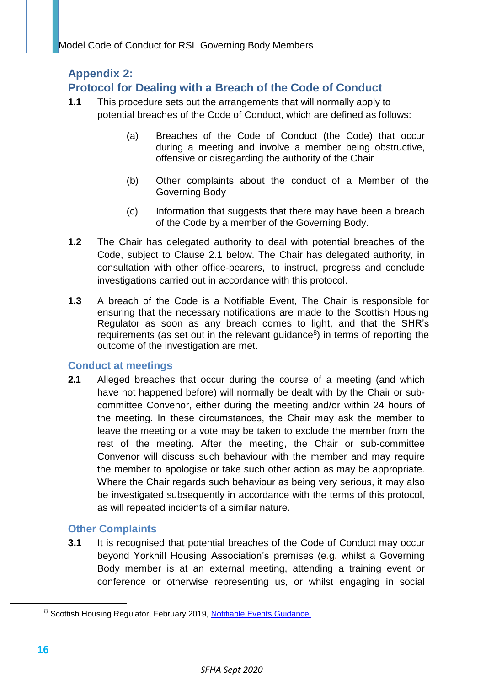# <span id="page-16-0"></span>**Appendix 2:**

# **Protocol for Dealing with a Breach of the Code of Conduct**

- **1.1** This procedure sets out the arrangements that will normally apply to potential breaches of the Code of Conduct, which are defined as follows:
	- (a) Breaches of the Code of Conduct (the Code) that occur during a meeting and involve a member being obstructive, offensive or disregarding the authority of the Chair
	- (b) Other complaints about the conduct of a Member of the Governing Body
	- (c) Information that suggests that there may have been a breach of the Code by a member of the Governing Body.
- **1.2** The Chair has delegated authority to deal with potential breaches of the Code, subject to Clause 2.1 below. The Chair has delegated authority, in consultation with other office-bearers, to instruct, progress and conclude investigations carried out in accordance with this protocol.
- **1.3** A breach of the Code is a Notifiable Event, The Chair is responsible for ensuring that the necessary notifications are made to the Scottish Housing Regulator as soon as any breach comes to light, and that the SHR's requirements (as set out in the relevant guidance $8$ ) in terms of reporting the outcome of the investigation are met.

# **Conduct at meetings**

**2.1** Alleged breaches that occur during the course of a meeting (and which have not happened before) will normally be dealt with by the Chair or subcommittee Convenor, either during the meeting and/or within 24 hours of the meeting. In these circumstances, the Chair may ask the member to leave the meeting or a vote may be taken to exclude the member from the rest of the meeting. After the meeting, the Chair or sub-committee Convenor will discuss such behaviour with the member and may require the member to apologise or take such other action as may be appropriate. Where the Chair regards such behaviour as being very serious, it may also be investigated subsequently in accordance with the terms of this protocol, as will repeated incidents of a similar nature.

# **Other Complaints**

**3.1** It is recognised that potential breaches of the Code of Conduct may occur beyond Yorkhill Housing Association's premises (e.g. whilst a Governing Body member is at an external meeting, attending a training event or conference or otherwise representing us, or whilst engaging in social

<sup>8</sup> Scottish Housing Regulator, February 2019, [Notifiable Events Guidance.](https://www.housingregulator.gov.scot/for-landlords/statutory-guidance/notifiable-events)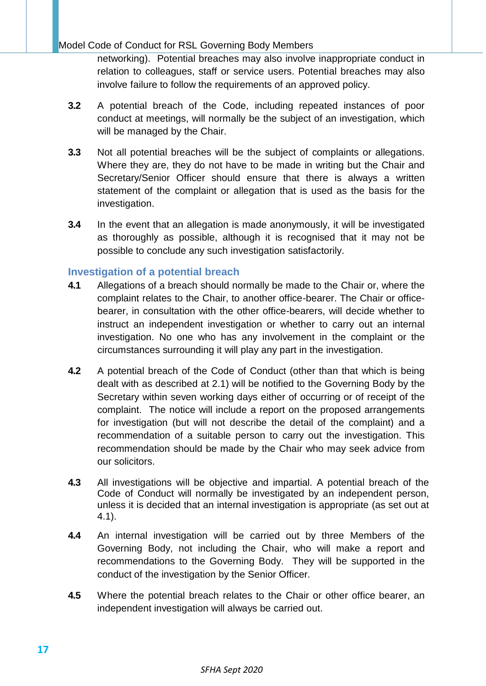# Model Code of Conduct for RSL Governing Body Members

networking). Potential breaches may also involve inappropriate conduct in relation to colleagues, staff or service users. Potential breaches may also involve failure to follow the requirements of an approved policy.

- **3.2** A potential breach of the Code, including repeated instances of poor conduct at meetings, will normally be the subject of an investigation, which will be managed by the Chair.
- **3.3** Not all potential breaches will be the subject of complaints or allegations. Where they are, they do not have to be made in writing but the Chair and Secretary/Senior Officer should ensure that there is always a written statement of the complaint or allegation that is used as the basis for the investigation.
- **3.4** In the event that an allegation is made anonymously, it will be investigated as thoroughly as possible, although it is recognised that it may not be possible to conclude any such investigation satisfactorily.

# **Investigation of a potential breach**

- **4.1** Allegations of a breach should normally be made to the Chair or, where the complaint relates to the Chair, to another office-bearer. The Chair or officebearer, in consultation with the other office-bearers, will decide whether to instruct an independent investigation or whether to carry out an internal investigation. No one who has any involvement in the complaint or the circumstances surrounding it will play any part in the investigation.
- **4.2** A potential breach of the Code of Conduct (other than that which is being dealt with as described at 2.1) will be notified to the Governing Body by the Secretary within seven working days either of occurring or of receipt of the complaint. The notice will include a report on the proposed arrangements for investigation (but will not describe the detail of the complaint) and a recommendation of a suitable person to carry out the investigation. This recommendation should be made by the Chair who may seek advice from our solicitors.
- **4.3** All investigations will be objective and impartial. A potential breach of the Code of Conduct will normally be investigated by an independent person, unless it is decided that an internal investigation is appropriate (as set out at 4.1).
- **4.4** An internal investigation will be carried out by three Members of the Governing Body, not including the Chair, who will make a report and recommendations to the Governing Body. They will be supported in the conduct of the investigation by the Senior Officer.
- **4.5** Where the potential breach relates to the Chair or other office bearer, an independent investigation will always be carried out.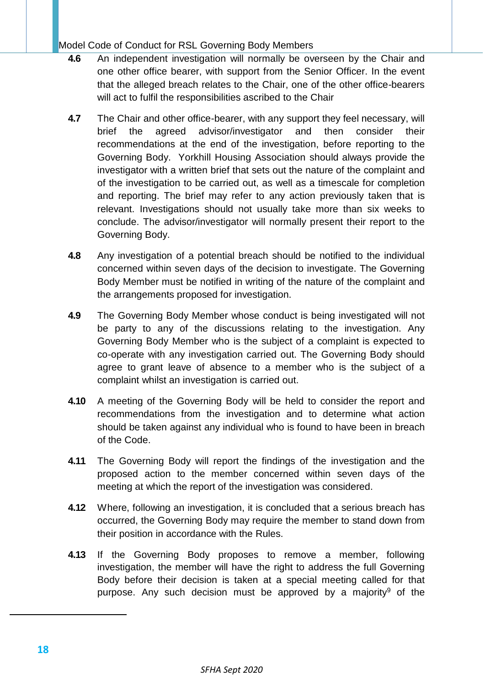Model Code of Conduct for RSL Governing Body Members

- **4.6** An independent investigation will normally be overseen by the Chair and one other office bearer, with support from the Senior Officer. In the event that the alleged breach relates to the Chair, one of the other office-bearers will act to fulfil the responsibilities ascribed to the Chair
- **4.7** The Chair and other office-bearer, with any support they feel necessary, will brief the agreed advisor/investigator and then consider their recommendations at the end of the investigation, before reporting to the Governing Body. Yorkhill Housing Association should always provide the investigator with a written brief that sets out the nature of the complaint and of the investigation to be carried out, as well as a timescale for completion and reporting. The brief may refer to any action previously taken that is relevant. Investigations should not usually take more than six weeks to conclude. The advisor/investigator will normally present their report to the Governing Body.
- **4.8** Any investigation of a potential breach should be notified to the individual concerned within seven days of the decision to investigate. The Governing Body Member must be notified in writing of the nature of the complaint and the arrangements proposed for investigation.
- **4.9** The Governing Body Member whose conduct is being investigated will not be party to any of the discussions relating to the investigation. Any Governing Body Member who is the subject of a complaint is expected to co-operate with any investigation carried out. The Governing Body should agree to grant leave of absence to a member who is the subject of a complaint whilst an investigation is carried out.
- **4.10** A meeting of the Governing Body will be held to consider the report and recommendations from the investigation and to determine what action should be taken against any individual who is found to have been in breach of the Code.
- **4.11** The Governing Body will report the findings of the investigation and the proposed action to the member concerned within seven days of the meeting at which the report of the investigation was considered.
- **4.12** Where, following an investigation, it is concluded that a serious breach has occurred, the Governing Body may require the member to stand down from their position in accordance with the Rules.
- **4.13** If the Governing Body proposes to remove a member, following investigation, the member will have the right to address the full Governing Body before their decision is taken at a special meeting called for that purpose. Any such decision must be approved by a majority $9$  of the